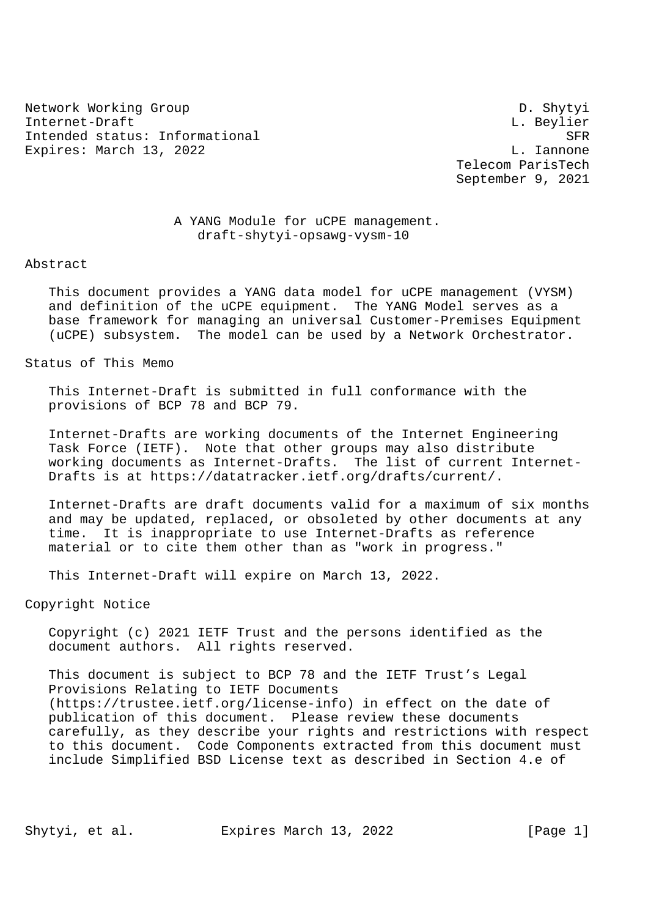Network Working Group Design Communication of the D. Shytyi Internet-Draft L. Beylier Intended status: Informational SFR Expires: March 13, 2022 L. Iannone

 Telecom ParisTech September 9, 2021

# A YANG Module for uCPE management. draft-shytyi-opsawg-vysm-10

Abstract

 This document provides a YANG data model for uCPE management (VYSM) and definition of the uCPE equipment. The YANG Model serves as a base framework for managing an universal Customer-Premises Equipment (uCPE) subsystem. The model can be used by a Network Orchestrator.

Status of This Memo

 This Internet-Draft is submitted in full conformance with the provisions of BCP 78 and BCP 79.

 Internet-Drafts are working documents of the Internet Engineering Task Force (IETF). Note that other groups may also distribute working documents as Internet-Drafts. The list of current Internet- Drafts is at https://datatracker.ietf.org/drafts/current/.

 Internet-Drafts are draft documents valid for a maximum of six months and may be updated, replaced, or obsoleted by other documents at any time. It is inappropriate to use Internet-Drafts as reference material or to cite them other than as "work in progress."

This Internet-Draft will expire on March 13, 2022.

Copyright Notice

 Copyright (c) 2021 IETF Trust and the persons identified as the document authors. All rights reserved.

 This document is subject to BCP 78 and the IETF Trust's Legal Provisions Relating to IETF Documents (https://trustee.ietf.org/license-info) in effect on the date of publication of this document. Please review these documents carefully, as they describe your rights and restrictions with respect to this document. Code Components extracted from this document must include Simplified BSD License text as described in Section 4.e of

Shytyi, et al. Expires March 13, 2022 [Page 1]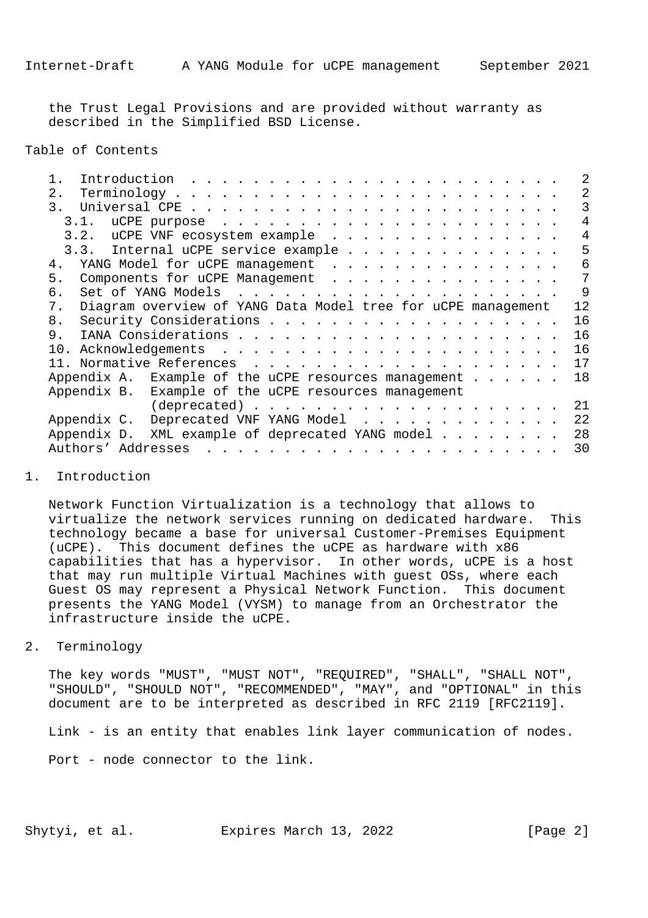the Trust Legal Provisions and are provided without warranty as described in the Simplified BSD License.

Table of Contents

| Introduction                                                                                                                                                                                                                                                          |    |
|-----------------------------------------------------------------------------------------------------------------------------------------------------------------------------------------------------------------------------------------------------------------------|----|
| 2.<br>$Terminology \ldots \ldots \ldots \ldots \ldots \ldots \ldots \ldots \ldots$                                                                                                                                                                                    | 2  |
| 3.                                                                                                                                                                                                                                                                    |    |
| 3.1.                                                                                                                                                                                                                                                                  | 4  |
| 3.2. uCPE VNF ecosystem example                                                                                                                                                                                                                                       | 4  |
| 3.3. Internal uCPE service example                                                                                                                                                                                                                                    | 5  |
| 4. YANG Model for uCPE management                                                                                                                                                                                                                                     | 6  |
| 5.<br>Components for uCPE Management                                                                                                                                                                                                                                  | 7  |
| Set of YANG Models<br>б.<br>$\mathcal{L}_{\mathcal{A}}$ . The contribution of the contribution of the contribution of the contribution of the contribution of the contribution of the contribution of the contribution of the contribution of the contribution of the | 9  |
| Diagram overview of YANG Data Model tree for uCPE management<br>7.                                                                                                                                                                                                    | 12 |
| 8.                                                                                                                                                                                                                                                                    | 16 |
| 9.                                                                                                                                                                                                                                                                    | 16 |
| 10.                                                                                                                                                                                                                                                                   | 16 |
|                                                                                                                                                                                                                                                                       | 17 |
| Appendix A. Example of the uCPE resources management                                                                                                                                                                                                                  | 18 |
| Appendix B. Example of the uCPE resources management                                                                                                                                                                                                                  |    |
|                                                                                                                                                                                                                                                                       | 21 |
| Appendix C. Deprecated VNF YANG Model                                                                                                                                                                                                                                 | 22 |
| Appendix D.<br>XML example of deprecated YANG model                                                                                                                                                                                                                   | 28 |
| Authors' Addresses                                                                                                                                                                                                                                                    | 30 |
|                                                                                                                                                                                                                                                                       |    |

# 1. Introduction

 Network Function Virtualization is a technology that allows to virtualize the network services running on dedicated hardware. This technology became a base for universal Customer-Premises Equipment (uCPE). This document defines the uCPE as hardware with x86 capabilities that has a hypervisor. In other words, uCPE is a host that may run multiple Virtual Machines with guest OSs, where each Guest OS may represent a Physical Network Function. This document presents the YANG Model (VYSM) to manage from an Orchestrator the infrastructure inside the uCPE.

### 2. Terminology

 The key words "MUST", "MUST NOT", "REQUIRED", "SHALL", "SHALL NOT", "SHOULD", "SHOULD NOT", "RECOMMENDED", "MAY", and "OPTIONAL" in this document are to be interpreted as described in RFC 2119 [RFC2119].

Link - is an entity that enables link layer communication of nodes.

Port - node connector to the link.

Shytyi, et al. Expires March 13, 2022 [Page 2]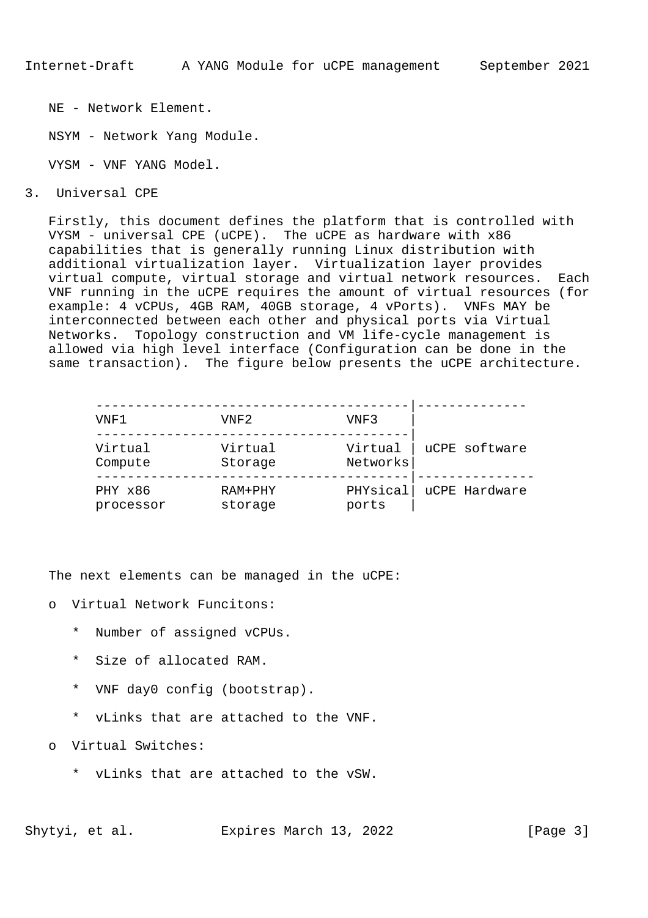NE - Network Element.

NSYM - Network Yang Module.

VYSM - VNF YANG Model.

3. Universal CPE

 Firstly, this document defines the platform that is controlled with VYSM - universal CPE (uCPE). The uCPE as hardware with x86 capabilities that is generally running Linux distribution with additional virtualization layer. Virtualization layer provides virtual compute, virtual storage and virtual network resources. Each VNF running in the uCPE requires the amount of virtual resources (for example: 4 vCPUs, 4GB RAM, 40GB storage, 4 vPorts). VNFs MAY be interconnected between each other and physical ports via Virtual Networks. Topology construction and VM life-cycle management is allowed via high level interface (Configuration can be done in the same transaction). The figure below presents the uCPE architecture.

| VNF1                 | VNF2               | VNF3                |               |
|----------------------|--------------------|---------------------|---------------|
| Virtual<br>Compute   | Virtual<br>Storage | Virtual<br>Networks | uCPE software |
| PHY x86<br>processor | RAM+PHY<br>storage | PHYsical<br>ports   | uCPE Hardware |

The next elements can be managed in the uCPE:

- o Virtual Network Funcitons:
	- \* Number of assigned vCPUs.
	- \* Size of allocated RAM.
	- \* VNF day0 config (bootstrap).
	- \* vLinks that are attached to the VNF.
- Virtual Switches:
	- \* vLinks that are attached to the vSW.

Shytyi, et al. Expires March 13, 2022 [Page 3]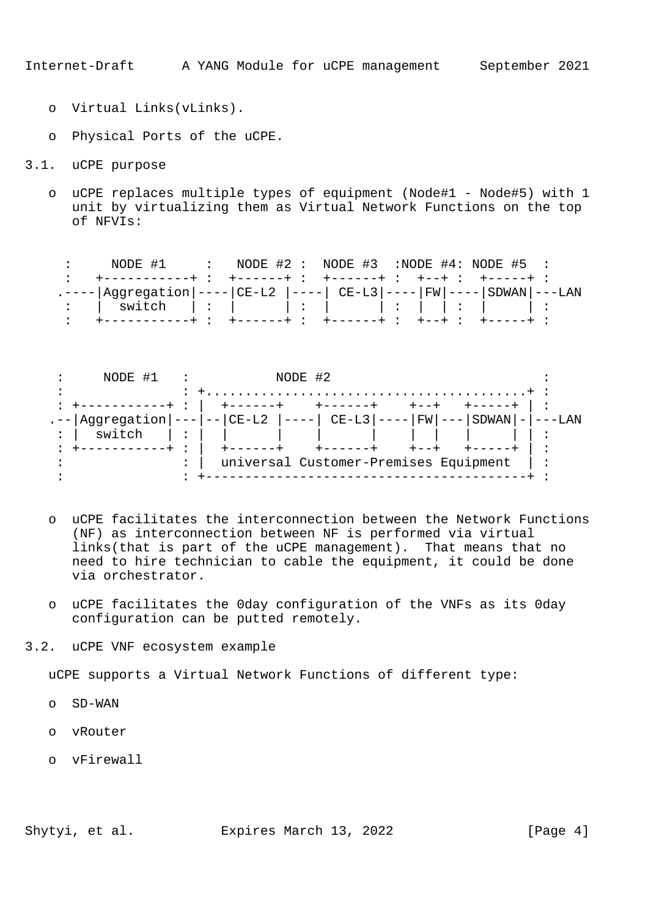- o Virtual Links(vLinks).
- o Physical Ports of the uCPE.
- 3.1. uCPE purpose
	- o uCPE replaces multiple types of equipment (Node#1 Node#5) with 1 unit by virtualizing them as Virtual Network Functions on the top of NFVIs:

: NODE #1 : NODE #2 : NODE #3 :NODE #4: NODE #5 : : +-----------+ : +------+ : +------+ : +--+ : +-----+ : .----|Aggregation|----|CE-L2 |----| CE-L3|----|FW|----|SDWAN|---LAN : | switch | : | | : | | : | | : | | : : +-----------+ : +------+ : +------+ : +--+ : +-----+ :



- o uCPE facilitates the interconnection between the Network Functions (NF) as interconnection between NF is performed via virtual links(that is part of the uCPE management). That means that no need to hire technician to cable the equipment, it could be done via orchestrator.
- o uCPE facilitates the 0day configuration of the VNFs as its 0day configuration can be putted remotely.
- 3.2. uCPE VNF ecosystem example

uCPE supports a Virtual Network Functions of different type:

- o SD-WAN
- o vRouter
- o vFirewall

Shytyi, et al. Expires March 13, 2022 [Page 4]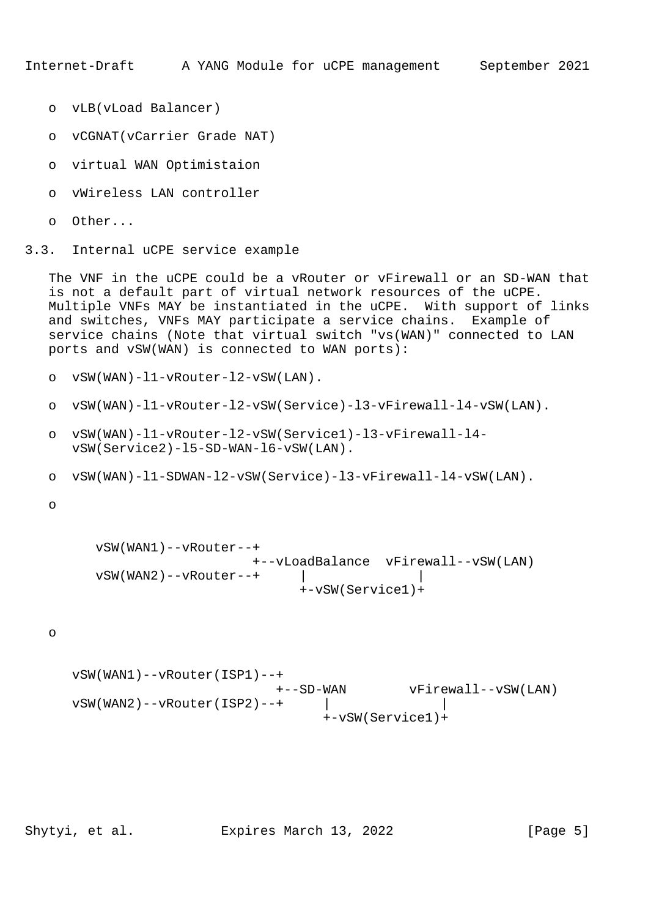- o vLB(vLoad Balancer)
- o vCGNAT(vCarrier Grade NAT)
- o virtual WAN Optimistaion
- o vWireless LAN controller
- o Other...
- 3.3. Internal uCPE service example

 The VNF in the uCPE could be a vRouter or vFirewall or an SD-WAN that is not a default part of virtual network resources of the uCPE. Multiple VNFs MAY be instantiated in the uCPE. With support of links and switches, VNFs MAY participate a service chains. Example of service chains (Note that virtual switch "vs(WAN)" connected to LAN ports and vSW(WAN) is connected to WAN ports):

o vSW(WAN)-l1-vRouter-l2-vSW(LAN).

- o vSW(WAN)-l1-vRouter-l2-vSW(Service)-l3-vFirewall-l4-vSW(LAN).
- o vSW(WAN)-l1-vRouter-l2-vSW(Service1)-l3-vFirewall-l4 vSW(Service2)-l5-SD-WAN-l6-vSW(LAN).
- o vSW(WAN)-l1-SDWAN-l2-vSW(Service)-l3-vFirewall-l4-vSW(LAN).

o

```
 vSW(WAN1)--vRouter--+
                    +--vLoadBalance vFirewall--vSW(LAN)
vSW(WAN2)--vRowter--+ |
                         +-vSW(Service1)+
```
o

```
 vSW(WAN1)--vRouter(ISP1)--+
                         +--SD-WAN vFirewall--vSW(LAN)
vSW(WAN2) --vRouter(ISP2) --+ |
                              +-vSW(Service1)+
```
Shytyi, et al. Expires March 13, 2022 [Page 5]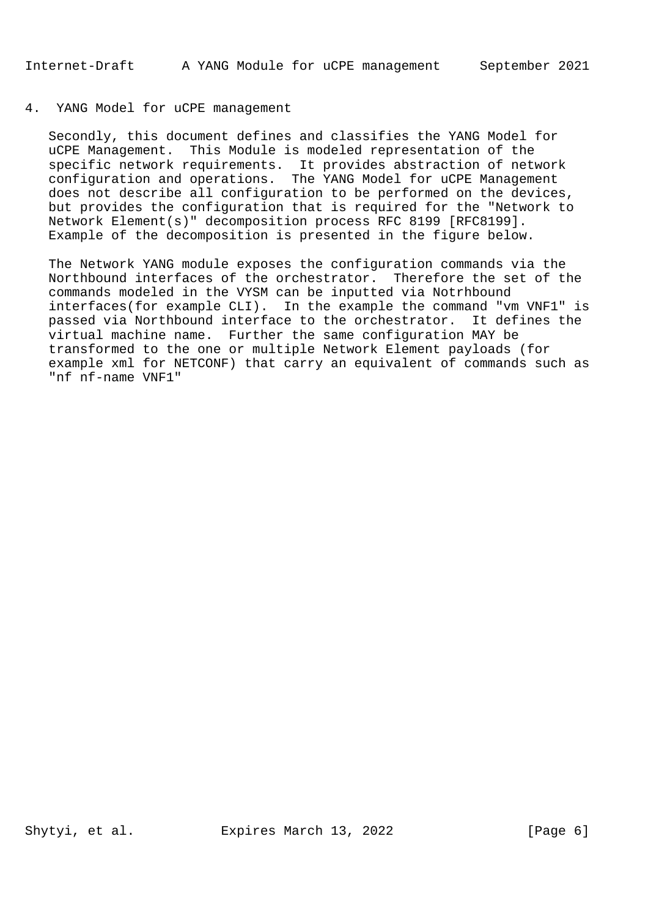# 4. YANG Model for uCPE management

 Secondly, this document defines and classifies the YANG Model for uCPE Management. This Module is modeled representation of the specific network requirements. It provides abstraction of network configuration and operations. The YANG Model for uCPE Management does not describe all configuration to be performed on the devices, but provides the configuration that is required for the "Network to Network Element(s)" decomposition process RFC 8199 [RFC8199]. Example of the decomposition is presented in the figure below.

 The Network YANG module exposes the configuration commands via the Northbound interfaces of the orchestrator. Therefore the set of the commands modeled in the VYSM can be inputted via Notrhbound interfaces(for example CLI). In the example the command "vm VNF1" is passed via Northbound interface to the orchestrator. It defines the virtual machine name. Further the same configuration MAY be transformed to the one or multiple Network Element payloads (for example xml for NETCONF) that carry an equivalent of commands such as "nf nf-name VNF1"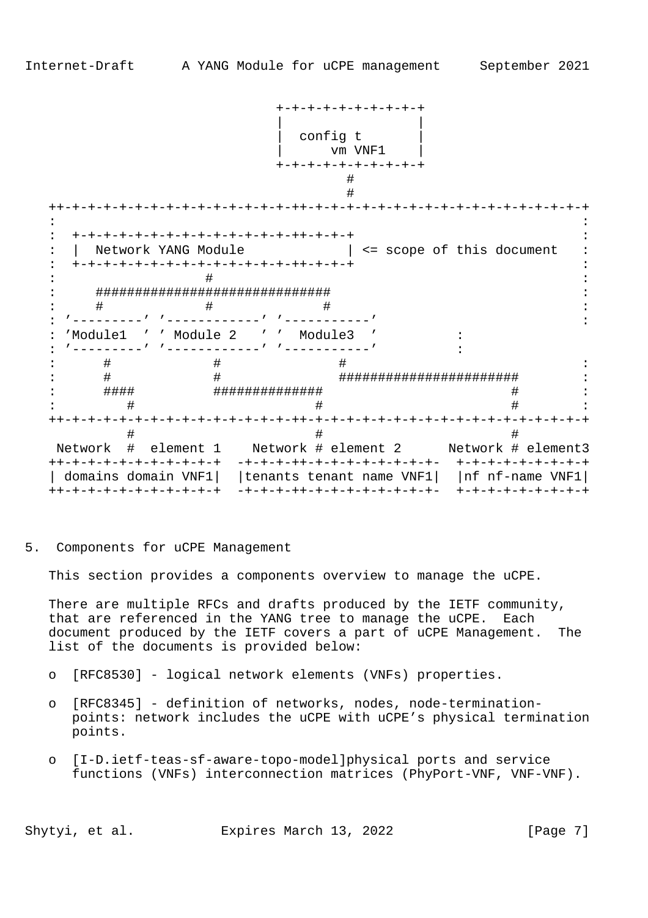|                        |                             | -+-+-+-+-+-+                                     |                                                            |
|------------------------|-----------------------------|--------------------------------------------------|------------------------------------------------------------|
|                        |                             |                                                  |                                                            |
|                        |                             | config t                                         |                                                            |
|                        |                             | vm VNF1                                          |                                                            |
|                        |                             | -+-+-+-+-+-+-+-+-+                               |                                                            |
|                        |                             |                                                  |                                                            |
|                        |                             |                                                  |                                                            |
|                        |                             |                                                  |                                                            |
|                        |                             |                                                  |                                                            |
| Network YANG Module    |                             |                                                  | <= scope of this document                                  |
|                        | -+-+-+-+-+-+-+-+-+-+-+-+-+- |                                                  |                                                            |
|                        |                             |                                                  |                                                            |
|                        |                             | ################################                 |                                                            |
| #                      | #                           |                                                  |                                                            |
|                        |                             |                                                  |                                                            |
|                        |                             | 'Module1 ' ' Module 2 ' ' Module3 '              |                                                            |
|                        |                             |                                                  |                                                            |
| #                      | #<br>#                      | #                                                |                                                            |
| #<br>####              |                             | #############                                    | #######################<br>#                               |
| #                      |                             |                                                  |                                                            |
| -+-+-+-+-+-+-+         |                             | -+-+-+-++-+-+-+-+-+-+                            | -+-+-+-+-+-+-+-+                                           |
| #                      |                             |                                                  |                                                            |
|                        |                             |                                                  | Network # element 1 Network # element 2 Network # element3 |
| ++-+-+-+-+-+-+-+-+-+-+ |                             | -+-+-+-++-+-+-+-+-+-+-+-+-+-                     | +-+-+-+-+-+-+-+-+                                          |
| domains domain VNF1    |                             | tenants tenant name $VNF1$     nf nf-name $VNF1$ |                                                            |
| ++-+-+-+-+-+-+-+-+-+-+ |                             | -+-+-+-++-+-+-+-+-+-+-+-+-+-                     | +-+-+-+-+-+-+-+-+                                          |

5. Components for uCPE Management

This section provides a components overview to manage the uCPE.

 There are multiple RFCs and drafts produced by the IETF community, that are referenced in the YANG tree to manage the uCPE. Each document produced by the IETF covers a part of uCPE Management. The list of the documents is provided below:

- o [RFC8530] logical network elements (VNFs) properties.
- o [RFC8345] definition of networks, nodes, node-termination points: network includes the uCPE with uCPE's physical termination points.
- o [I-D.ietf-teas-sf-aware-topo-model]physical ports and service functions (VNFs) interconnection matrices (PhyPort-VNF, VNF-VNF).

Shytyi, et al. Expires March 13, 2022 [Page 7]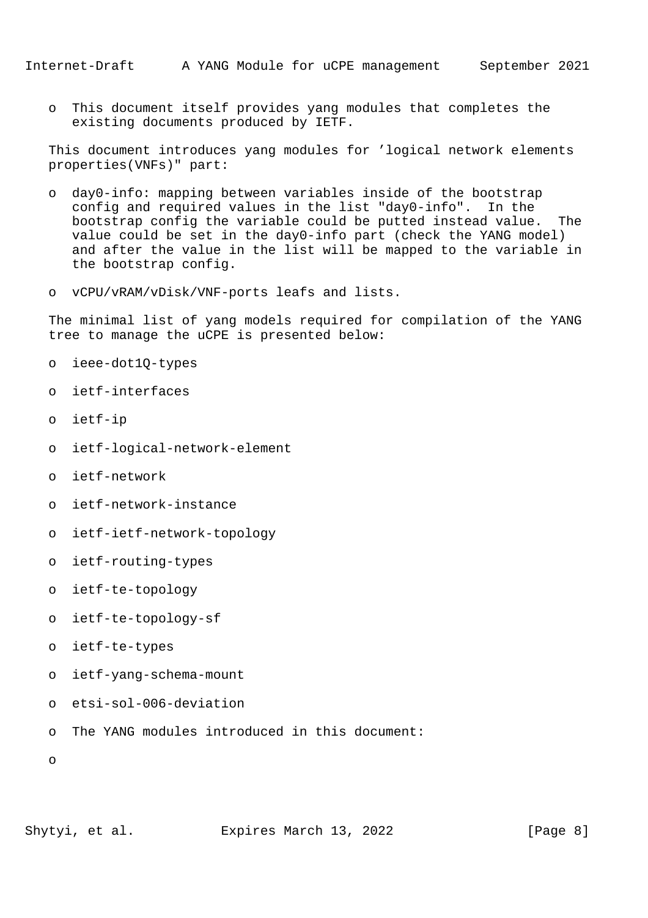o This document itself provides yang modules that completes the existing documents produced by IETF.

 This document introduces yang modules for 'logical network elements properties(VNFs)" part:

- o day0-info: mapping between variables inside of the bootstrap config and required values in the list "day0-info". In the bootstrap config the variable could be putted instead value. The value could be set in the day0-info part (check the YANG model) and after the value in the list will be mapped to the variable in the bootstrap config.
- o vCPU/vRAM/vDisk/VNF-ports leafs and lists.

 The minimal list of yang models required for compilation of the YANG tree to manage the uCPE is presented below:

- o ieee-dot1Q-types
- o ietf-interfaces
- o ietf-ip
- o ietf-logical-network-element
- o ietf-network
- o ietf-network-instance
- o ietf-ietf-network-topology
- o ietf-routing-types
- o ietf-te-topology
- o ietf-te-topology-sf
- o ietf-te-types
- o ietf-yang-schema-mount
- o etsi-sol-006-deviation
- o The YANG modules introduced in this document:

o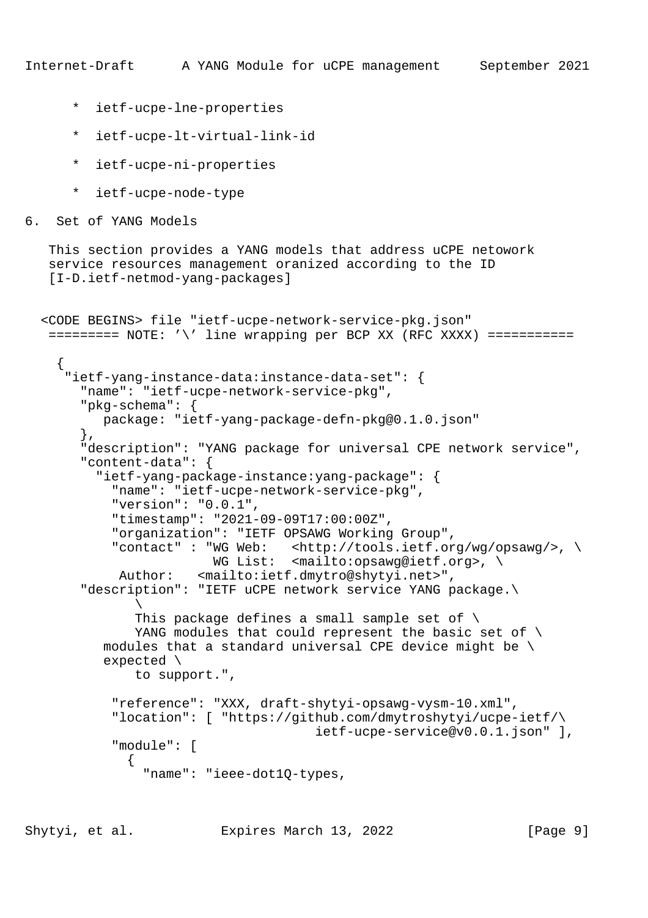- \* ietf-ucpe-lne-properties
- \* ietf-ucpe-lt-virtual-link-id
- \* ietf-ucpe-ni-properties
- \* ietf-ucpe-node-type
- 6. Set of YANG Models

```
 This section provides a YANG models that address uCPE netowork
 service resources management oranized according to the ID
 [I-D.ietf-netmod-yang-packages]
```

```
 <CODE BEGINS> file "ietf-ucpe-network-service-pkg.json"
  ====== = NOTE: ' \iota' line wrapping per BCP XX (RFC XXXX) ============
     {
      "ietf-yang-instance-data:instance-data-set": {
        "name": "ietf-ucpe-network-service-pkg",
        "pkg-schema": {
          package: "ietf-yang-package-defn-pkg@0.1.0.json"
        },
        "description": "YANG package for universal CPE network service",
        "content-data": {
          "ietf-yang-package-instance:yang-package": {
            "name": "ietf-ucpe-network-service-pkg",
            "version": "0.0.1",
            "timestamp": "2021-09-09T17:00:00Z",
            "organization": "IETF OPSAWG Working Group",
            "contact" : "WG Web: <http://tools.ietf.org/wg/opsawg/>, \
                       WG List: <mailto:opsawg@ietf.org>, \
             Author: <mailto:ietf.dmytro@shytyi.net>",
        "description": "IETF uCPE network service YANG package.\
\mathcal{N} This package defines a small sample set of \
              YANG modules that could represent the basic set of \setminusmodules that a standard universal CPE device might be \setminus expected \
               to support.",
            "reference": "XXX, draft-shytyi-opsawg-vysm-10.xml",
            "location": [ "https://github.com/dmytroshytyi/ucpe-ietf/\
                                       ietf-ucpe-service@v0.0.1.json" ],
            "module": [
\{ "name": "ieee-dot1Q-types,
```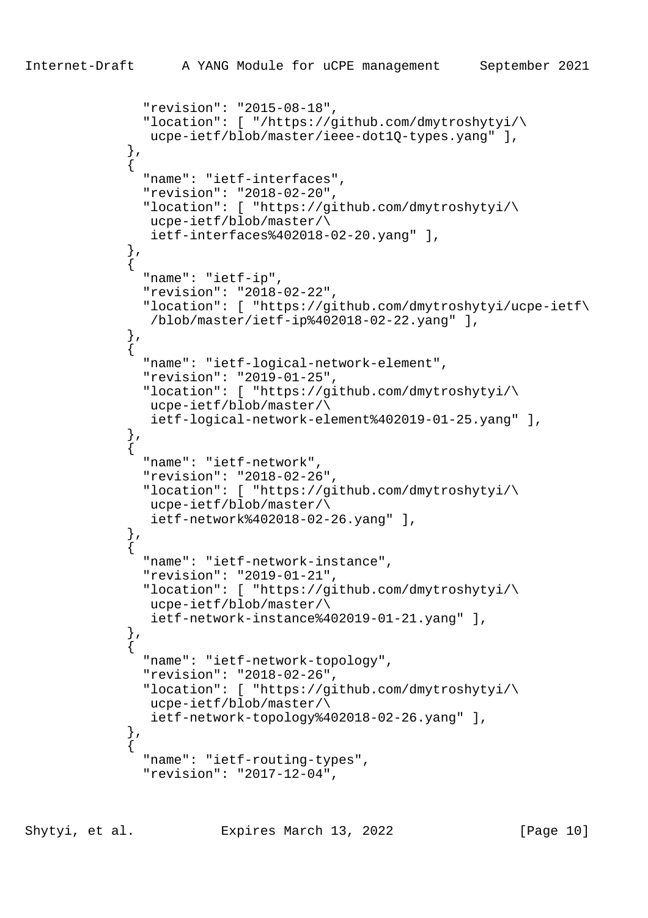```
 "revision": "2015-08-18",
                "location": [ "/https://github.com/dmytroshytyi/\
                 ucpe-ietf/blob/master/ieee-dot1Q-types.yang" ],
              },
\{ "name": "ietf-interfaces",
                "revision": "2018-02-20",
                "location": [ "https://github.com/dmytroshytyi/\
                 ucpe-ietf/blob/master/\
                 ietf-interfaces%402018-02-20.yang" ],
              },
\{ "name": "ietf-ip",
                "revision": "2018-02-22",
                "location": [ "https://github.com/dmytroshytyi/ucpe-ietf\
                 /blob/master/ietf-ip%402018-02-22.yang" ],
             \left\{ \begin{array}{c} \text{ }\\ \text{ }\\ \text{ }\\ \text{ } \end{array} \right.\{ "name": "ietf-logical-network-element",
                "revision": "2019-01-25",
                "location": [ "https://github.com/dmytroshytyi/\
                 ucpe-ietf/blob/master/\
                 ietf-logical-network-element%402019-01-25.yang" ],
              },
\{ "name": "ietf-network",
                "revision": "2018-02-26",
                "location": [ "https://github.com/dmytroshytyi/\
                 ucpe-ietf/blob/master/\
                 ietf-network%402018-02-26.yang" ],
              },
\{ "name": "ietf-network-instance",
                "revision": "2019-01-21",
                "location": [ "https://github.com/dmytroshytyi/\
                 ucpe-ietf/blob/master/\
                 ietf-network-instance%402019-01-21.yang" ],
              },
\{ "name": "ietf-network-topology",
                "revision": "2018-02-26",
                "location": [ "https://github.com/dmytroshytyi/\
                 ucpe-ietf/blob/master/\
                 ietf-network-topology%402018-02-26.yang" ],
              },
\{ "name": "ietf-routing-types",
                "revision": "2017-12-04",
```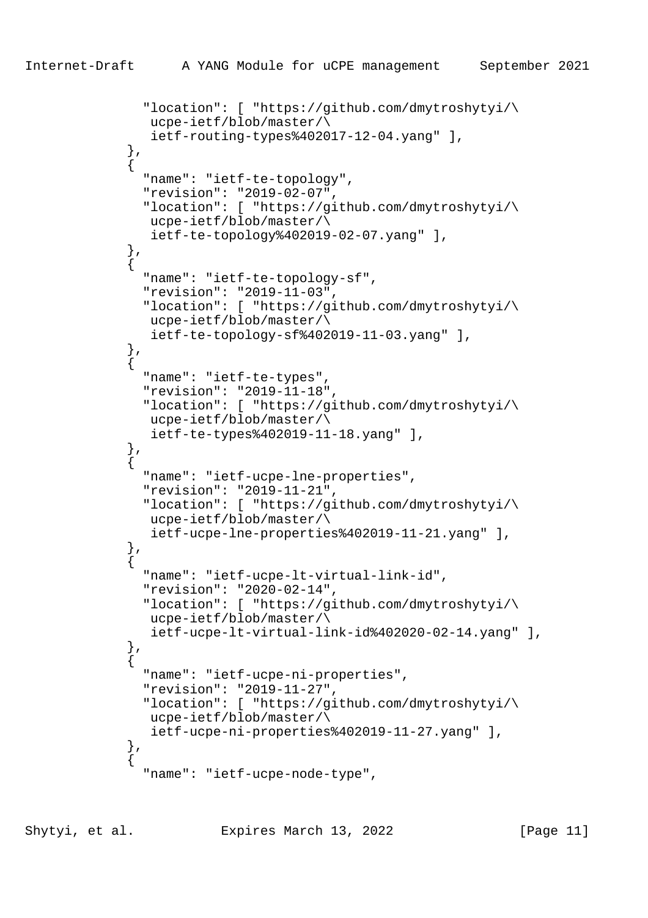```
 "location": [ "https://github.com/dmytroshytyi/\
                 ucpe-ietf/blob/master/\
                 ietf-routing-types%402017-12-04.yang" ],
              },
\{ "name": "ietf-te-topology",
                "revision": "2019-02-07",
                "location": [ "https://github.com/dmytroshytyi/\
                 ucpe-ietf/blob/master/\
                 ietf-te-topology%402019-02-07.yang" ],
             } ,<br> \left\{ \begin{array}{c} \vspace{0.1cm} \\ \vspace{0.1cm} \end{array} \right.\{ "name": "ietf-te-topology-sf",
                "revision": "2019-11-03",
                "location": [ "https://github.com/dmytroshytyi/\
                 ucpe-ietf/blob/master/\
                 ietf-te-topology-sf%402019-11-03.yang" ],
              },
\{ "name": "ietf-te-types",
                "revision": "2019-11-18",
                "location": [ "https://github.com/dmytroshytyi/\
                 ucpe-ietf/blob/master/\
                 ietf-te-types%402019-11-18.yang" ],
              },
\{ "name": "ietf-ucpe-lne-properties",
                "revision": "2019-11-21",
                "location": [ "https://github.com/dmytroshytyi/\
                 ucpe-ietf/blob/master/\
                 ietf-ucpe-lne-properties%402019-11-21.yang" ],
              },
\{ "name": "ietf-ucpe-lt-virtual-link-id",
                "revision": "2020-02-14",
                "location": [ "https://github.com/dmytroshytyi/\
                 ucpe-ietf/blob/master/\
                 ietf-ucpe-lt-virtual-link-id%402020-02-14.yang" ],
              },
\{ "name": "ietf-ucpe-ni-properties",
                "revision": "2019-11-27",
                "location": [ "https://github.com/dmytroshytyi/\
                 ucpe-ietf/blob/master/\
                 ietf-ucpe-ni-properties%402019-11-27.yang" ],
              },
\{ "name": "ietf-ucpe-node-type",
```
Shytyi, et al. Expires March 13, 2022 [Page 11]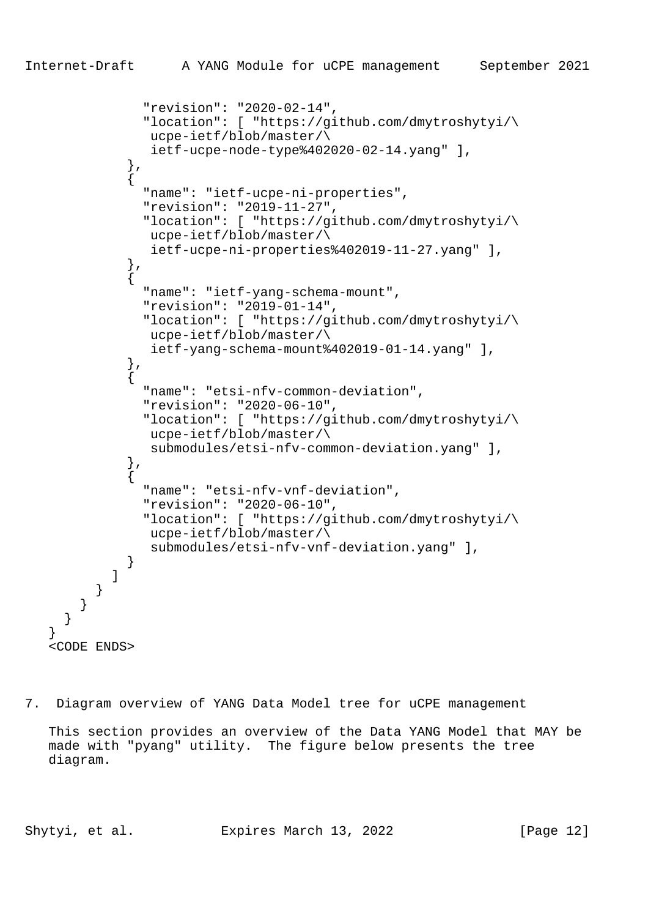```
 "revision": "2020-02-14",
               "location": [ "https://github.com/dmytroshytyi/\
                ucpe-ietf/blob/master/\
                ietf-ucpe-node-type%402020-02-14.yang" ],
             },
\{ "name": "ietf-ucpe-ni-properties",
               "revision": "2019-11-27",
               "location": [ "https://github.com/dmytroshytyi/\
                ucpe-ietf/blob/master/\
                ietf-ucpe-ni-properties%402019-11-27.yang" ],
             },
\{ "name": "ietf-yang-schema-mount",
               "revision": "2019-01-14",
               "location": [ "https://github.com/dmytroshytyi/\
                ucpe-ietf/blob/master/\
                ietf-yang-schema-mount%402019-01-14.yang" ],
             },
\{ "name": "etsi-nfv-common-deviation",
               "revision": "2020-06-10",
               "location": [ "https://github.com/dmytroshytyi/\
                ucpe-ietf/blob/master/\
                submodules/etsi-nfv-common-deviation.yang" ],
             },
\{ "name": "etsi-nfv-vnf-deviation",
               "revision": "2020-06-10",
               "location": [ "https://github.com/dmytroshytyi/\
                ucpe-ietf/blob/master/\
                submodules/etsi-nfv-vnf-deviation.yang" ],
 }
           ]
         }
       }
   <CODE ENDS>
```
7. Diagram overview of YANG Data Model tree for uCPE management

 This section provides an overview of the Data YANG Model that MAY be made with "pyang" utility. The figure below presents the tree diagram.

 } }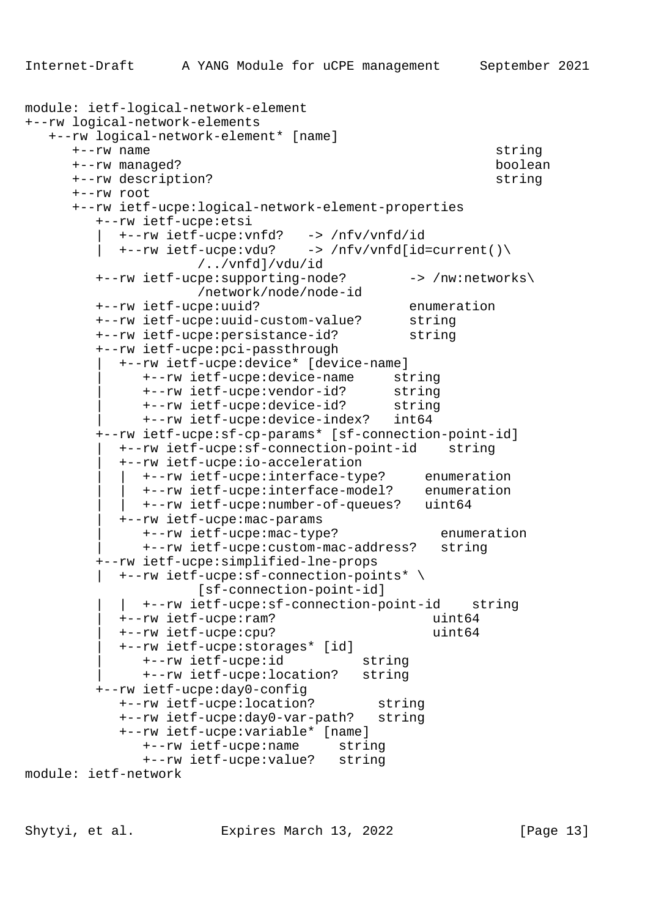```
module: ietf-logical-network-element
+--rw logical-network-elements
   +--rw logical-network-element* [name]
      +--rw name string
      +--rw managed? boolean
      +--rw description? string
      +--rw root
      +--rw ietf-ucpe:logical-network-element-properties
        +--rw ietf-ucpe:etsi
          | +--rw ietf-ucpe:vnfd? -> /nfv/vnfd/id
           | +--rw ietf-ucpe:vdu? -> /nfv/vnfd[id=current()\
                    /../vnfd]/vdu/id
       +--rw ietf-ucpe:supporting-node? -> /nw:networks\
                    /network/node/node-id
        +--rw ietf-ucpe:uuid? enumeration
        +--rw ietf-ucpe:uuid-custom-value? string
        +--rw ietf-ucpe:persistance-id? string
         +--rw ietf-ucpe:pci-passthrough
           | +--rw ietf-ucpe:device* [device-name]
              | +--rw ietf-ucpe:device-name string
 | +--rw ietf-ucpe:vendor-id? string
 | +--rw ietf-ucpe:device-id? string
             | +--rw ietf-ucpe:device-index? int64
         +--rw ietf-ucpe:sf-cp-params* [sf-connection-point-id]
           | +--rw ietf-ucpe:sf-connection-point-id string
           | +--rw ietf-ucpe:io-acceleration
 | | +--rw ietf-ucpe:interface-type? enumeration
 | | +--rw ietf-ucpe:interface-model? enumeration
             | | +--rw ietf-ucpe:number-of-queues? uint64
           | +--rw ietf-ucpe:mac-params
             | +--rw ietf-ucpe:mac-type? enumeration
              | +--rw ietf-ucpe:custom-mac-address? string
         +--rw ietf-ucpe:simplified-lne-props
         | +--rw ietf-ucpe:sf-connection-points* \
                    [sf-connection-point-id]
           | | +--rw ietf-ucpe:sf-connection-point-id string
           | +--rw ietf-ucpe:ram? uint64
           | +--rw ietf-ucpe:cpu? uint64
           | +--rw ietf-ucpe:storages* [id]
              | +--rw ietf-ucpe:id string
             | +--rw ietf-ucpe:location? string
         +--rw ietf-ucpe:day0-config
 +--rw ietf-ucpe:location? string
 +--rw ietf-ucpe:day0-var-path? string
           +--rw ietf-ucpe:variable* [name]
              +--rw ietf-ucpe:name string
              +--rw ietf-ucpe:value? string
module: ietf-network
```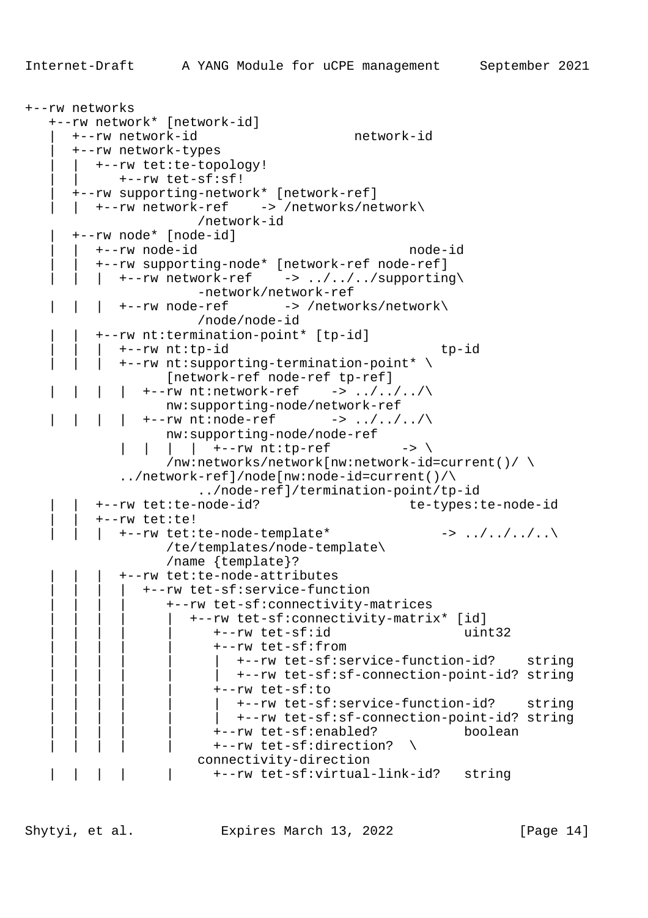```
+--rw networks
    +--rw network* [network-id]
      | +--rw network-id network-id
       | +--rw network-types
         | | +--rw tet:te-topology!
            | | +--rw tet-sf:sf!
       | +--rw supporting-network* [network-ref]
      | +--rw network-ref -> /networks/network\
                       /network-id
       | +--rw node* [node-id]
          | | +--rw node-id node-id
          | | +--rw supporting-node* [network-ref node-ref]
         | +--rw network-ref \rightarrow ../../../supporting\
                       -network/network-ref
           | | | +--rw node-ref -> /networks/network\
                       /node/node-id
          | | +--rw nt:termination-point* [tp-id]
             | | | +--rw nt:tp-id tp-id
            +--rw nt:supporting-termination-point* \
                   [network-ref node-ref tp-ref]
            | +--rw nt:network-ref -> ../../../\
                  nw:supporting-node/network-ref
         \vert \vert +--rw nt:node-ref -> ../../../\
                   nw:supporting-node/node-ref
               | | | +--rw nt:tp-ref -> \
                  /nw:networks/network[nw:network-id=current()/ \setminus ../network-ref]/node[nw:node-id=current()/\
                       ../node-ref]/termination-point/tp-id
          | | +--rw tet:te-node-id? te-types:te-node-id
          | | +--rw tet:te!
            +--rw tet:te-node-template* ->> . ./. ./. .\ /te/templates/node-template\
                   /name {template}?
             | | | +--rw tet:te-node-attributes
                | | | | +--rw tet-sf:service-function
                   | | | | +--rw tet-sf:connectivity-matrices
                      | | | | | +--rw tet-sf:connectivity-matrix* [id]
                         | | | | | +--rw tet-sf:id uint32
                         | | | | | +--rw tet-sf:from
                            | | | | | | +--rw tet-sf:service-function-id? string
                            | | | | | | +--rw tet-sf:sf-connection-point-id? string
                        +--rw tet-sf:to
                            | | | | | | +--rw tet-sf:service-function-id? string
                        | +--rw tet-sf:sf-connection-point-id? string
                         | | | | | +--rw tet-sf:enabled? boolean
                        +--rw tet-sf:direction? \
                       connectivity-direction
                         | | | | | +--rw tet-sf:virtual-link-id? string
```
Shytyi, et al. Expires March 13, 2022 [Page 14]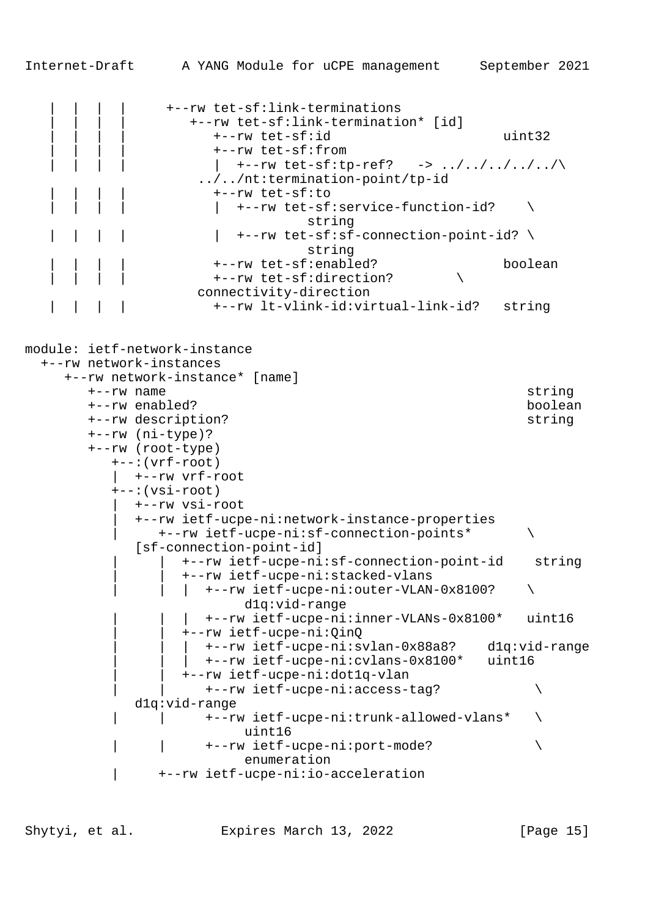```
Internet-Draft A YANG Module for uCPE management September 2021
                | | | | +--rw tet-sf:link-terminations
                   | | | | +--rw tet-sf:link-termination* [id]
                     | | | | +--rw tet-sf:id uint32
                     | | | | +--rw tet-sf:from
                    | +--rw \text{ tet-sf:tp-ref?} -> ../../../../../\
                    ../../nt:termination-point/tp-id
                     | | | | +--rw tet-sf:to
                    \vert +--rw tet-sf:service-function-id? \setminus string
                   | +--rw tet-sf:sf-connection-point-id? \setminus string
 | | | | +--rw tet-sf:enabled? boolean
                   +--rw tet-sf:direction?
                   connectivity-direction
                     | | | | +--rw lt-vlink-id:virtual-link-id? string
module: ietf-network-instance
  +--rw network-instances
     +--rw network-instance* [name]
       +--rw name string
       +--rw enabled? boolean
       +--rw description? string
       +--rw (ni-type)?
       +--rw (root-type)
          +--:(vrf-root)
          | +--rw vrf-root
```
 +--:(vsi-root) | +--rw vsi-root | +--rw ietf-ucpe-ni:network-instance-properties | +--rw ietf-ucpe-ni:sf-connection-points\* \ [sf-connection-point-id] | | +--rw ietf-ucpe-ni:sf-connection-point-id string | | +--rw ietf-ucpe-ni:stacked-vlans  $|$  +--rw ietf-ucpe-ni:outer-VLAN-0x8100? d1q:vid-range | | | +--rw ietf-ucpe-ni:inner-VLANs-0x8100\* uint16 | | +--rw ietf-ucpe-ni:QinQ | | | +--rw ietf-ucpe-ni:svlan-0x88a8? d1q:vid-range | | | +--rw ietf-ucpe-ni:cvlans-0x8100\* uint16 | | +--rw ietf-ucpe-ni:dot1q-vlan | | +--rw ietf-ucpe-ni:access-tag? \ d1q:vid-range +--rw ietf-ucpe-ni:trunk-allowed-vlans\* \ uint16 | | +--rw ietf-ucpe-ni:port-mode? \ enumeration | +--rw ietf-ucpe-ni:io-acceleration

Shytyi, et al. Expires March 13, 2022 [Page 15]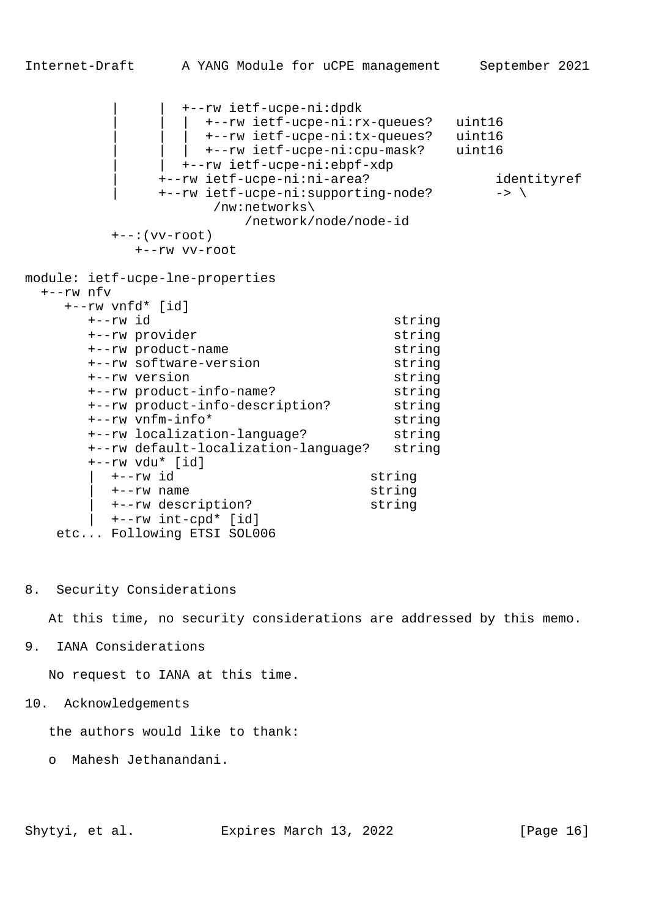```
Internet-Draft A YANG Module for uCPE management September 2021
                | | +--rw ietf-ucpe-ni:dpdk
                   | | | +--rw ietf-ucpe-ni:rx-queues? uint16
                   | | | +--rw ietf-ucpe-ni:tx-queues? uint16
                | +--rw ietf-ucpe-ni:cpu-mask? uint16
               | | +--rw ietf-ucpe-ni:ebpf-xdp
              | +--rw ietf-ucpe-ni:ni-area? identityref
             +--rw ietf-ucpe-ni:supporting-node? -> \
                    /nw:networks\
                       /network/node/node-id
         +--: (vv-root)
            +--rw vv-root
module: ietf-ucpe-lne-properties
  +--rw nfv
     +--rw vnfd* [id]
       +--rw id string
       +--rw provider string
       +--rw product-name string
       +--rw software-version string
       +--rw version string
       +--rw product-info-name? string
       +--rw product-info-description? string
       +--rw vnfm-info* string
       +--rw localization-language? string
       +--rw default-localization-language? string
       +--rw vdu* [id]
         | +--rw id string
         | +--rw name string
         | +--rw description? string
         | +--rw int-cpd* [id]
    etc... Following ETSI SOL006
```
8. Security Considerations

At this time, no security considerations are addressed by this memo.

9. IANA Considerations

No request to IANA at this time.

10. Acknowledgements

the authors would like to thank:

o Mahesh Jethanandani.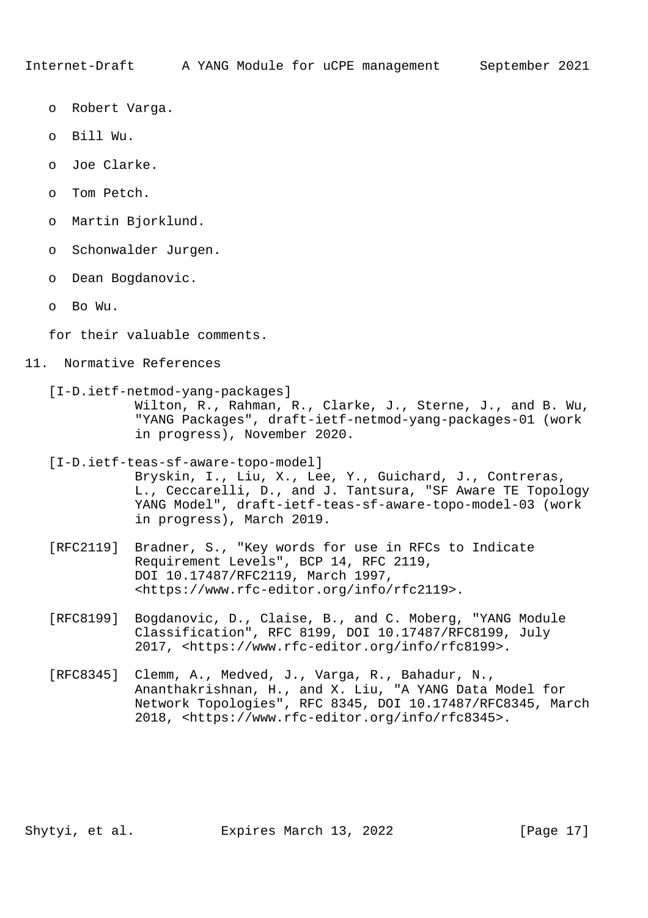- o Robert Varga.
- o Bill Wu.
- o Joe Clarke.
- o Tom Petch.
- o Martin Bjorklund.
- o Schonwalder Jurgen.
- o Dean Bogdanovic.
- o Bo Wu.

for their valuable comments.

#### 11. Normative References

 [I-D.ietf-netmod-yang-packages] Wilton, R., Rahman, R., Clarke, J., Sterne, J., and B. Wu, "YANG Packages", draft-ietf-netmod-yang-packages-01 (work in progress), November 2020.

- [I-D.ietf-teas-sf-aware-topo-model] Bryskin, I., Liu, X., Lee, Y., Guichard, J., Contreras, L., Ceccarelli, D., and J. Tantsura, "SF Aware TE Topology YANG Model", draft-ietf-teas-sf-aware-topo-model-03 (work in progress), March 2019.
- [RFC2119] Bradner, S., "Key words for use in RFCs to Indicate Requirement Levels", BCP 14, RFC 2119, DOI 10.17487/RFC2119, March 1997, <https://www.rfc-editor.org/info/rfc2119>.
- [RFC8199] Bogdanovic, D., Claise, B., and C. Moberg, "YANG Module Classification", RFC 8199, DOI 10.17487/RFC8199, July 2017, <https://www.rfc-editor.org/info/rfc8199>.
- [RFC8345] Clemm, A., Medved, J., Varga, R., Bahadur, N., Ananthakrishnan, H., and X. Liu, "A YANG Data Model for Network Topologies", RFC 8345, DOI 10.17487/RFC8345, March 2018, <https://www.rfc-editor.org/info/rfc8345>.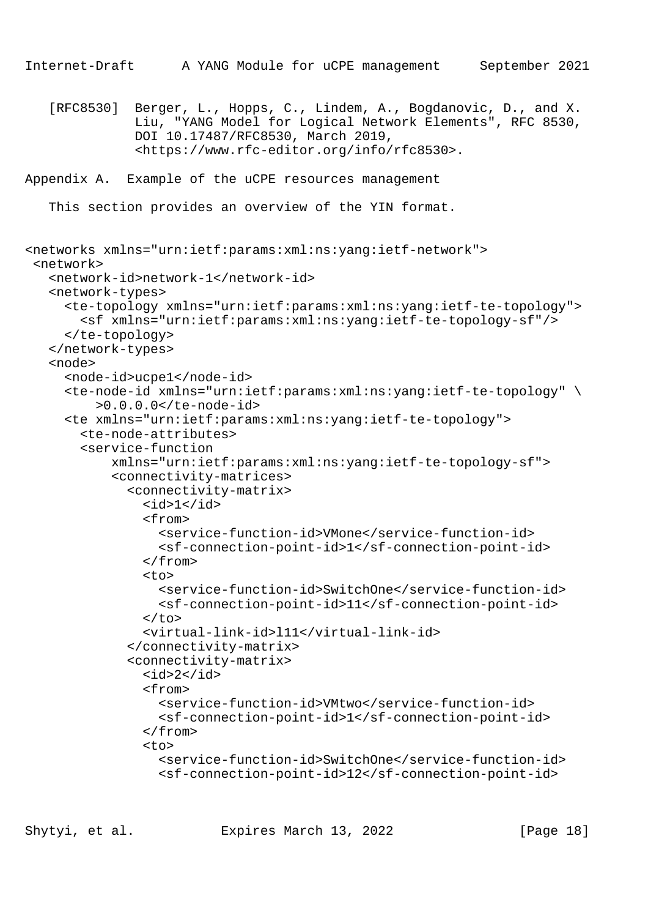```
Internet-Draft A YANG Module for uCPE management September 2021
    [RFC8530] Berger, L., Hopps, C., Lindem, A., Bogdanovic, D., and X.
              Liu, "YANG Model for Logical Network Elements", RFC 8530,
              DOI 10.17487/RFC8530, March 2019,
              <https://www.rfc-editor.org/info/rfc8530>.
Appendix A. Example of the uCPE resources management
```
This section provides an overview of the YIN format.

```
<networks xmlns="urn:ietf:params:xml:ns:yang:ietf-network">
 <network>
    <network-id>network-1</network-id>
    <network-types>
      <te-topology xmlns="urn:ietf:params:xml:ns:yang:ietf-te-topology">
        <sf xmlns="urn:ietf:params:xml:ns:yang:ietf-te-topology-sf"/>
      </te-topology>
    </network-types>
    <node>
      <node-id>ucpe1</node-id>
      <te-node-id xmlns="urn:ietf:params:xml:ns:yang:ietf-te-topology" \
          >0.0.0.0</te-node-id>
      <te xmlns="urn:ietf:params:xml:ns:yang:ietf-te-topology">
        <te-node-attributes>
        <service-function
            xmlns="urn:ietf:params:xml:ns:yang:ietf-te-topology-sf">
            <connectivity-matrices>
              <connectivity-matrix>

                <from>
                  <service-function-id>VMone</service-function-id>
                  <sf-connection-point-id>1</sf-connection-point-id>
                </from>
               <to> <service-function-id>SwitchOne</service-function-id>
                  <sf-connection-point-id>11</sf-connection-point-id>
               \langleto>
                <virtual-link-id>l11</virtual-link-id>
              </connectivity-matrix>
              <connectivity-matrix>
               <id>2</id>
                <from>
                  <service-function-id>VMtwo</service-function-id>
                  <sf-connection-point-id>1</sf-connection-point-id>
                </from>
                <to>
                  <service-function-id>SwitchOne</service-function-id>
                  <sf-connection-point-id>12</sf-connection-point-id>
```
Shytyi, et al. Expires March 13, 2022 [Page 18]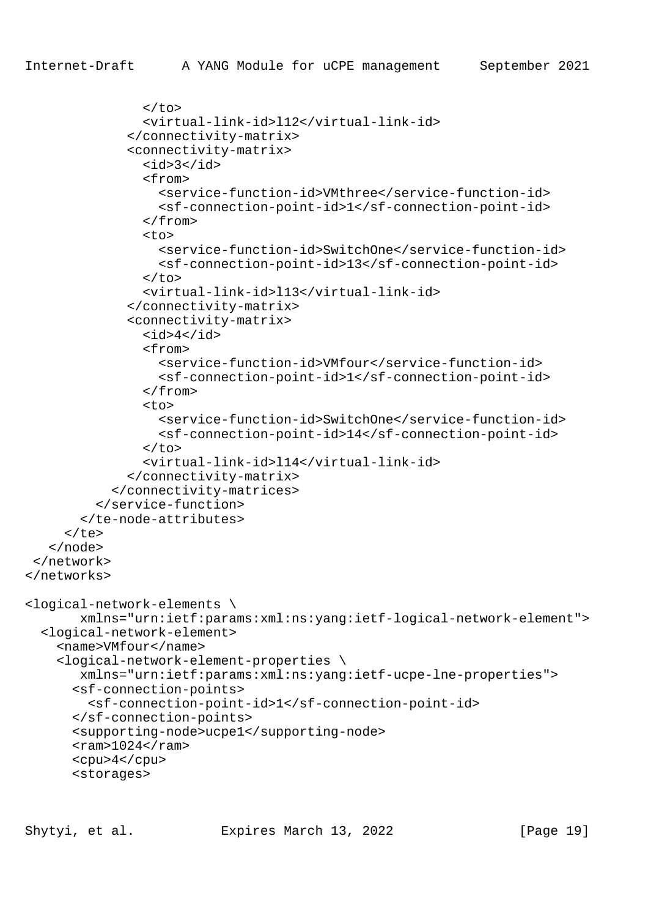```
\langle/to>
                 <virtual-link-id>l12</virtual-link-id>
               </connectivity-matrix>
               <connectivity-matrix>
                <id>3</id>
                 <from>
                   <service-function-id>VMthree</service-function-id>
                   <sf-connection-point-id>1</sf-connection-point-id>
                 </from>
                <sub>tr</sub></sub>
                   <service-function-id>SwitchOne</service-function-id>
                   <sf-connection-point-id>13</sf-connection-point-id>
                \langle t \rangle <virtual-link-id>l13</virtual-link-id>
               </connectivity-matrix>
               <connectivity-matrix>
                <id>4</id>
                 <from>
                   <service-function-id>VMfour</service-function-id>
                   <sf-connection-point-id>1</sf-connection-point-id>
                 </from>
                <sub>tr</sub></sub>
                   <service-function-id>SwitchOne</service-function-id>
                   <sf-connection-point-id>14</sf-connection-point-id>
                \langle/to>
                 <virtual-link-id>l14</virtual-link-id>
               </connectivity-matrix>
            </connectivity-matrices>
          </service-function>
        </te-node-attributes>
     \langle t </node>
 </network>
</networks>
<logical-network-elements \
        xmlns="urn:ietf:params:xml:ns:yang:ietf-logical-network-element">
   <logical-network-element>
     <name>VMfour</name>
     <logical-network-element-properties \
        xmlns="urn:ietf:params:xml:ns:yang:ietf-ucpe-lne-properties">
       <sf-connection-points>
         <sf-connection-point-id>1</sf-connection-point-id>
       </sf-connection-points>
       <supporting-node>ucpe1</supporting-node>
      <ram>1024</ram>
       <cpu>4</cpu>
       <storages>
```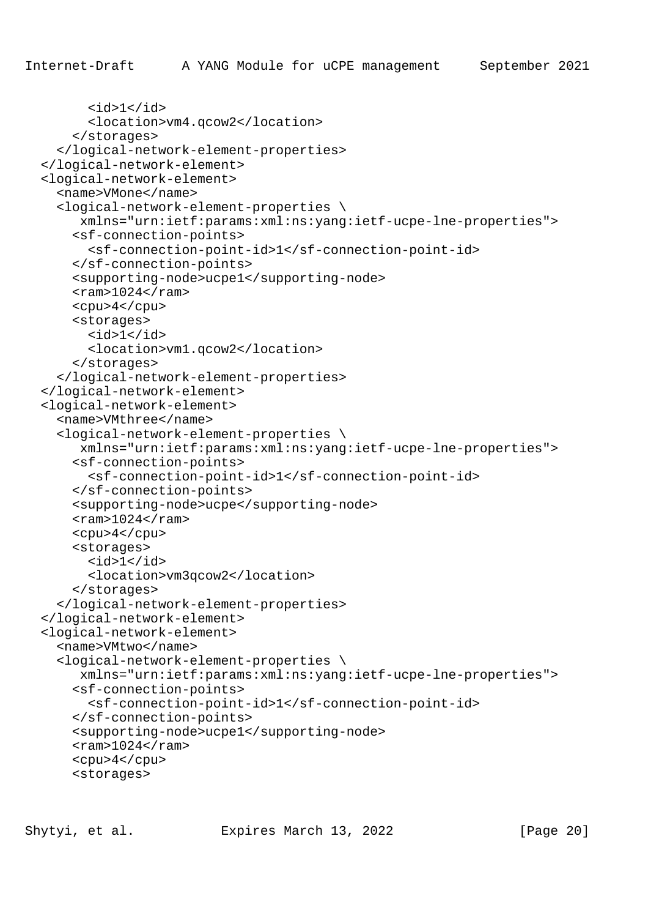```
 <id>1</id>
       <location>vm4.qcow2</location>
     </storages>
   </logical-network-element-properties>
 </logical-network-element>
 <logical-network-element>
   <name>VMone</name>
   <logical-network-element-properties \
     xmlns="urn:ietf:params:xml:ns:yang:ietf-ucpe-lne-properties">
     <sf-connection-points>
       <sf-connection-point-id>1</sf-connection-point-id>
     </sf-connection-points>
     <supporting-node>ucpe1</supporting-node>
    <ram>1024</ram>
     <cpu>4</cpu>
     <storages>
      <id>1</id>
       <location>vm1.qcow2</location>
     </storages>
   </logical-network-element-properties>
 </logical-network-element>
 <logical-network-element>
   <name>VMthree</name>
   <logical-network-element-properties \
      xmlns="urn:ietf:params:xml:ns:yang:ietf-ucpe-lne-properties">
     <sf-connection-points>
       <sf-connection-point-id>1</sf-connection-point-id>
     </sf-connection-points>
     <supporting-node>ucpe</supporting-node>
    <ram>1024</ram>
     <cpu>4</cpu>
     <storages>
      <id>1</id>
       <location>vm3qcow2</location>
     </storages>
   </logical-network-element-properties>
 </logical-network-element>
 <logical-network-element>
   <name>VMtwo</name>
   <logical-network-element-properties \
      xmlns="urn:ietf:params:xml:ns:yang:ietf-ucpe-lne-properties">
     <sf-connection-points>
       <sf-connection-point-id>1</sf-connection-point-id>
     </sf-connection-points>
     <supporting-node>ucpe1</supporting-node>
    <ram>1024</ram>
     <cpu>4</cpu>
     <storages>
```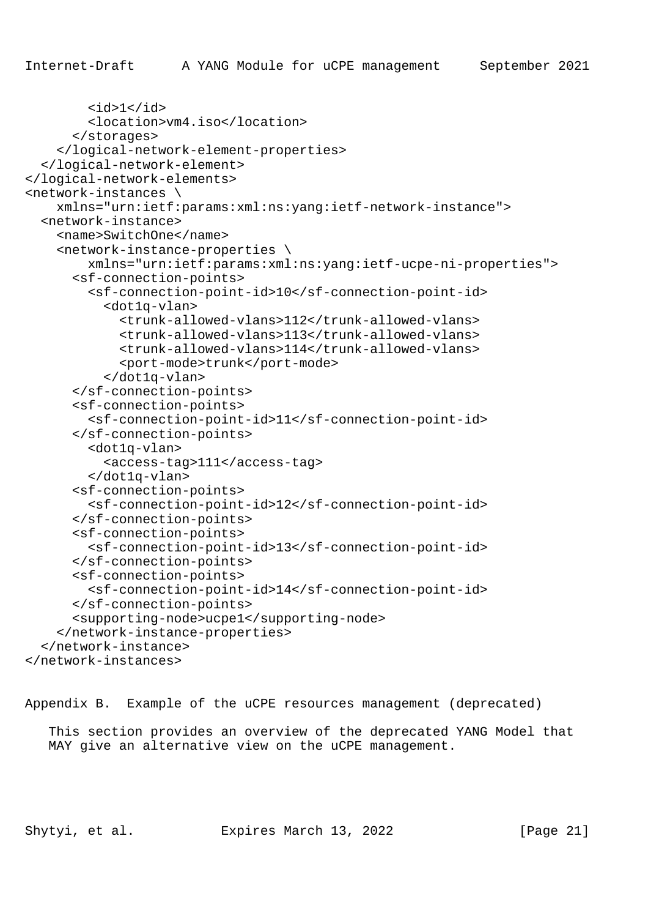```
 <id>1</id>
         <location>vm4.iso</location>
       </storages>
     </logical-network-element-properties>
   </logical-network-element>
</logical-network-elements>
<network-instances \
     xmlns="urn:ietf:params:xml:ns:yang:ietf-network-instance">
  <network-instance>
     <name>SwitchOne</name>
     <network-instance-properties \
         xmlns="urn:ietf:params:xml:ns:yang:ietf-ucpe-ni-properties">
       <sf-connection-points>
         <sf-connection-point-id>10</sf-connection-point-id>
           <dot1q-vlan>
             <trunk-allowed-vlans>112</trunk-allowed-vlans>
             <trunk-allowed-vlans>113</trunk-allowed-vlans>
             <trunk-allowed-vlans>114</trunk-allowed-vlans>
             <port-mode>trunk</port-mode>
           </dot1q-vlan>
       </sf-connection-points>
       <sf-connection-points>
         <sf-connection-point-id>11</sf-connection-point-id>
       </sf-connection-points>
         <dot1q-vlan>
           <access-tag>111</access-tag>
         </dot1q-vlan>
       <sf-connection-points>
         <sf-connection-point-id>12</sf-connection-point-id>
       </sf-connection-points>
       <sf-connection-points>
         <sf-connection-point-id>13</sf-connection-point-id>
       </sf-connection-points>
       <sf-connection-points>
         <sf-connection-point-id>14</sf-connection-point-id>
       </sf-connection-points>
       <supporting-node>ucpe1</supporting-node>
     </network-instance-properties>
   </network-instance>
</network-instances>
```
Appendix B. Example of the uCPE resources management (deprecated)

 This section provides an overview of the deprecated YANG Model that MAY give an alternative view on the uCPE management.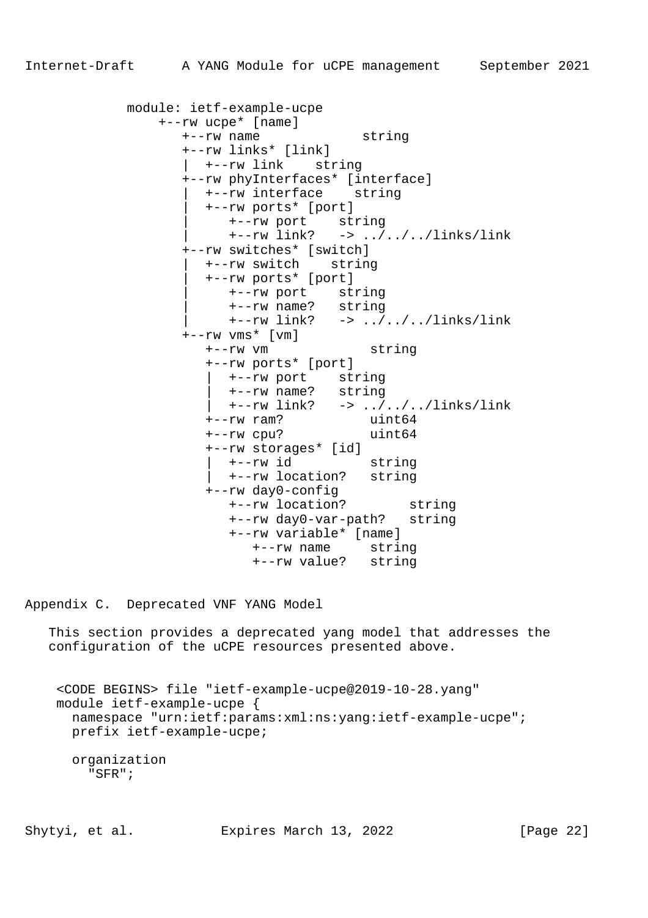```
 module: ietf-example-ucpe
 +--rw ucpe* [name]
 +--rw name string
               +--rw links* [link]
                 | +--rw link string
               +--rw phyInterfaces* [interface]
                | +--rw interface string
                 | +--rw ports* [port]
                   | +--rw port string
                  +--rw link? -> ../../../links/link
               +--rw switches* [switch]
                 | +--rw switch string
                 | +--rw ports* [port]
 | +--rw port string
 | +--rw name? string
                   | +--rw link? -> ../../../links/link
 +--rw vms* [vm]
 +--rw vm string
                 +--rw ports* [port]
 | +--rw port string
 | +--rw name? string
 | +--rw link? -> ../../../links/link
 +--rw ram? uint64
 +--rw cpu? uint64
                 +--rw storages* [id]
                   | +--rw id string
                   | +--rw location? string
                 +--rw day0-config
                   +--rw location? string
                   +--rw day0-var-path? string
                   +--rw variable* [name]
                      +--rw name string
                      +--rw value? string
```
Appendix C. Deprecated VNF YANG Model

 This section provides a deprecated yang model that addresses the configuration of the uCPE resources presented above.

 <CODE BEGINS> file "ietf-example-ucpe@2019-10-28.yang" module ietf-example-ucpe { namespace "urn:ietf:params:xml:ns:yang:ietf-example-ucpe"; prefix ietf-example-ucpe; organization "SFR";

Shytyi, et al. Expires March 13, 2022 [Page 22]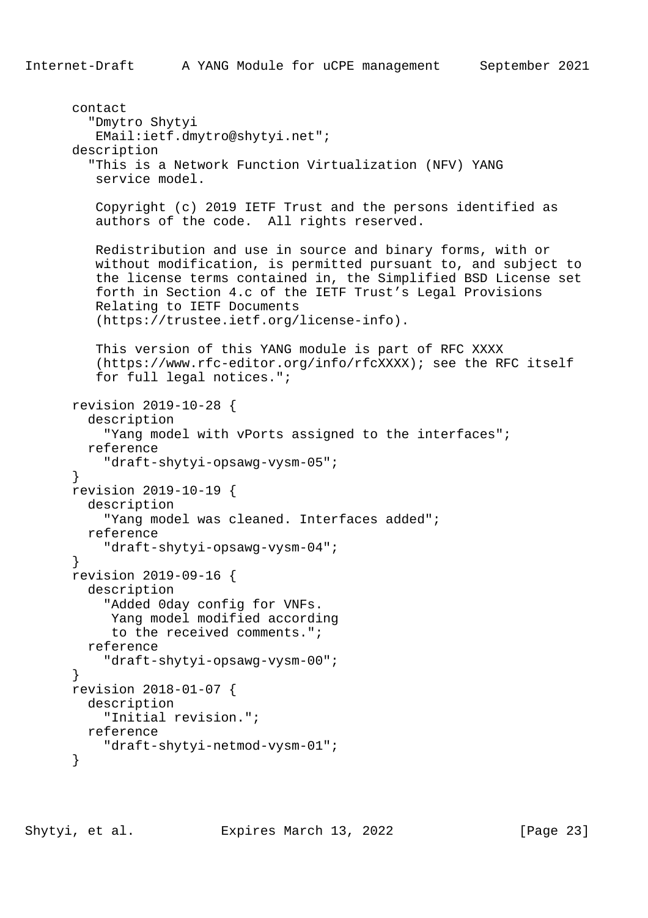```
 contact
   "Dmytro Shytyi
   EMail:ietf.dmytro@shytyi.net";
 description
   "This is a Network Function Virtualization (NFV) YANG
    service model.
    Copyright (c) 2019 IETF Trust and the persons identified as
    authors of the code. All rights reserved.
    Redistribution and use in source and binary forms, with or
    without modification, is permitted pursuant to, and subject to
    the license terms contained in, the Simplified BSD License set
    forth in Section 4.c of the IETF Trust's Legal Provisions
    Relating to IETF Documents
    (https://trustee.ietf.org/license-info).
    This version of this YANG module is part of RFC XXXX
    (https://www.rfc-editor.org/info/rfcXXXX); see the RFC itself
    for full legal notices.";
 revision 2019-10-28 {
   description
     "Yang model with vPorts assigned to the interfaces";
   reference
     "draft-shytyi-opsawg-vysm-05";
 }
 revision 2019-10-19 {
  description
     "Yang model was cleaned. Interfaces added";
   reference
     "draft-shytyi-opsawg-vysm-04";
 }
 revision 2019-09-16 {
  description
     "Added 0day config for VNFs.
      Yang model modified according
      to the received comments.";
   reference
     "draft-shytyi-opsawg-vysm-00";
 }
 revision 2018-01-07 {
   description
     "Initial revision.";
  reference
     "draft-shytyi-netmod-vysm-01";
 }
```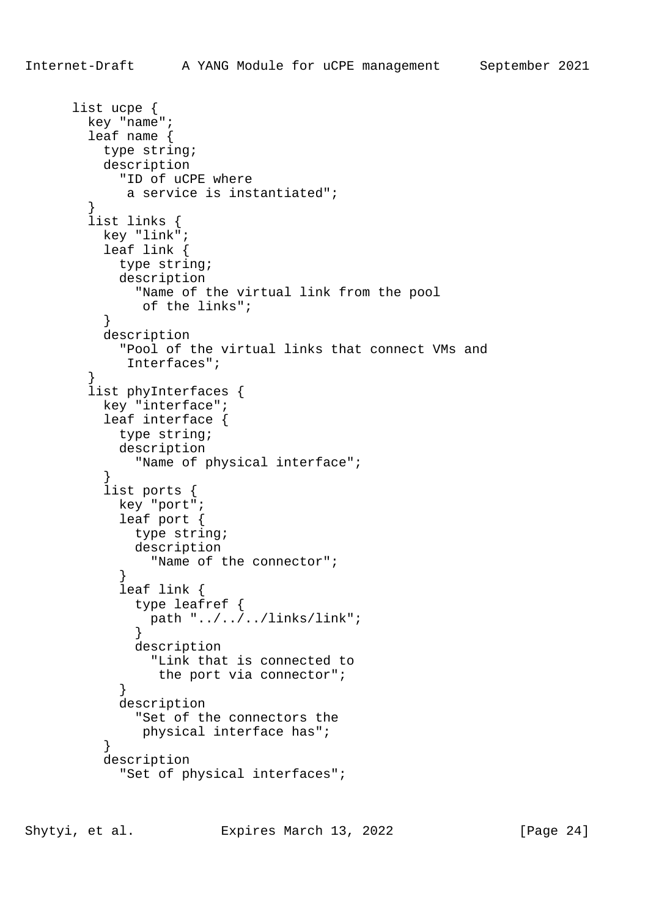```
 list ucpe {
        key "name";
        leaf name {
          type string;
          description
            "ID of uCPE where
            a service is instantiated";
 }
        list links {
          key "link";
          leaf link {
            type string;
            description
              "Name of the virtual link from the pool
              of the links";
 }
          description
            "Pool of the virtual links that connect VMs and
            Interfaces";
 }
        list phyInterfaces {
          key "interface";
          leaf interface {
           type string;
            description
              "Name of physical interface";
 }
          list ports {
            key "port";
            leaf port {
             type string;
             description
                "Name of the connector";
 }
            leaf link {
              type leafref {
               path "../../../links/link";
 }
              description
                "Link that is connected to
                the port via connector";
 }
            description
              "Set of the connectors the
              physical interface has";
 }
          description
            "Set of physical interfaces";
```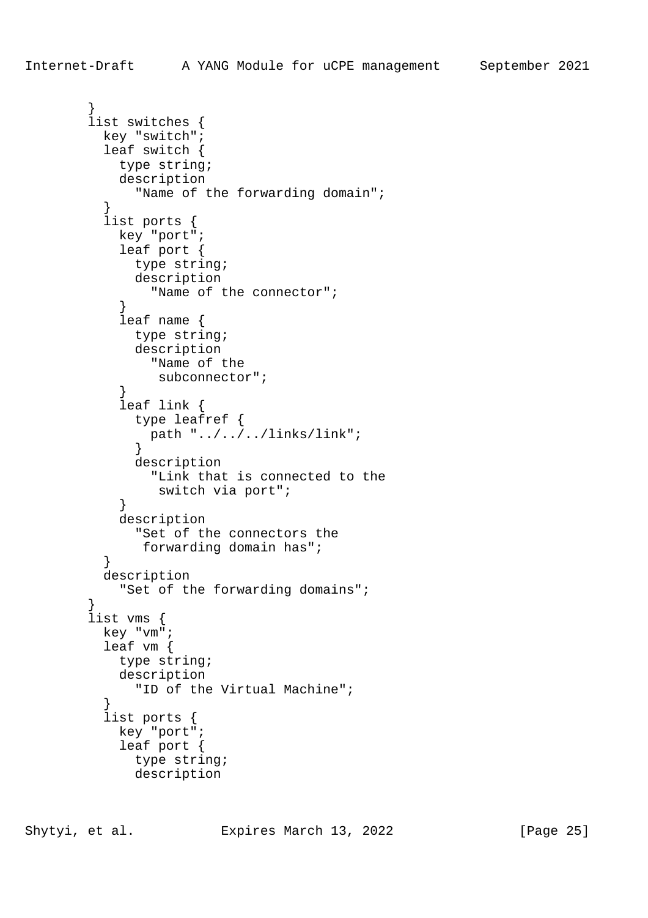```
 }
        list switches {
          key "switch";
          leaf switch {
            type string;
            description
             "Name of the forwarding domain";
 }
          list ports {
            key "port";
            leaf port {
             type string;
             description
               "Name of the connector";
 }
            leaf name {
              type string;
             description
               "Name of the
                subconnector";
 }
            leaf link {
              type leafref {
               path "../../../links/link";
 }
              description
               "Link that is connected to the
                switch via port";
 }
            description
              "Set of the connectors the
              forwarding domain has";
 }
          description
            "Set of the forwarding domains";
 }
        list vms {
          key "vm";
          leaf vm {
           type string;
            description
              "ID of the Virtual Machine";
 }
          list ports {
            key "port";
            leaf port {
             type string;
              description
```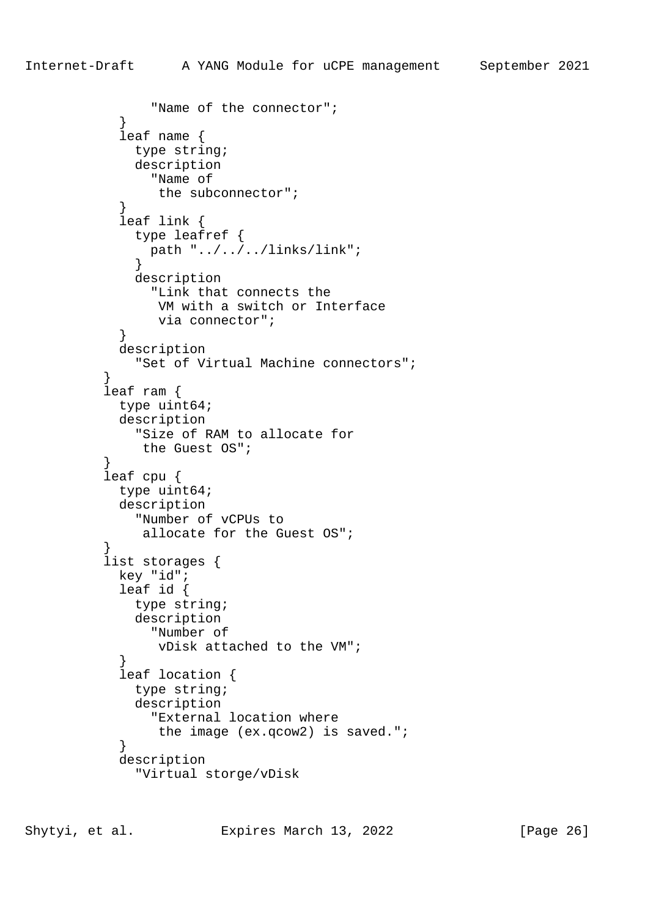```
 "Name of the connector";
 }
            leaf name {
             type string;
              description
               "Name of
                the subconnector";
 }
            leaf link {
              type leafref {
               path "../../../links/link";
 }
             description
                "Link that connects the
                VM with a switch or Interface
                via connector";
 }
            description
             "Set of Virtual Machine connectors";
 }
          leaf ram {
            type uint64;
            description
             "Size of RAM to allocate for
              the Guest OS";
 }
          leaf cpu {
           type uint64;
            description
             "Number of vCPUs to
              allocate for the Guest OS";
 }
          list storages {
            key "id";
            leaf id {
             type string;
             description
               "Number of
                vDisk attached to the VM";
 }
            leaf location {
             type string;
              description
               "External location where
               the image (ex.qcow2) is saved.";
 }
            description
              "Virtual storge/vDisk
```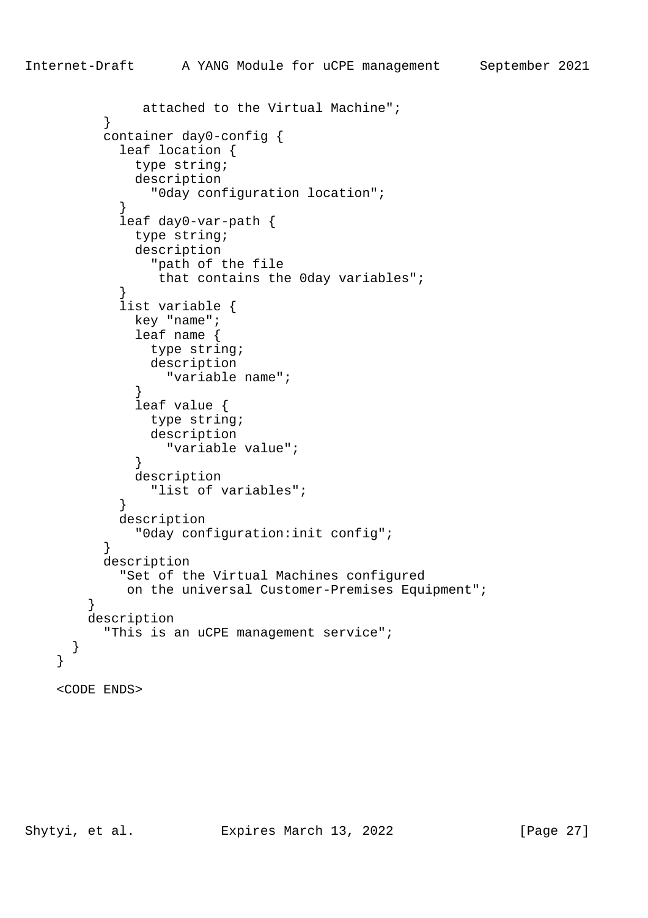```
 attached to the Virtual Machine";
 }
          container day0-config {
            leaf location {
              type string;
              description
                "0day configuration location";
 }
            leaf day0-var-path {
              type string;
              description
                "path of the file
                that contains the 0day variables";
 }
            list variable {
              key "name";
              leaf name {
               type string;
                description
                 "variable name";
 }
              leaf value {
               type string;
                description
                 "variable value";
 }
              description
                "list of variables";
 }
            description
              "0day configuration:init config";
 }
          description
            "Set of the Virtual Machines configured
             on the universal Customer-Premises Equipment";
        }
        description
          "This is an uCPE management service";
      }
    <CODE ENDS>
```
}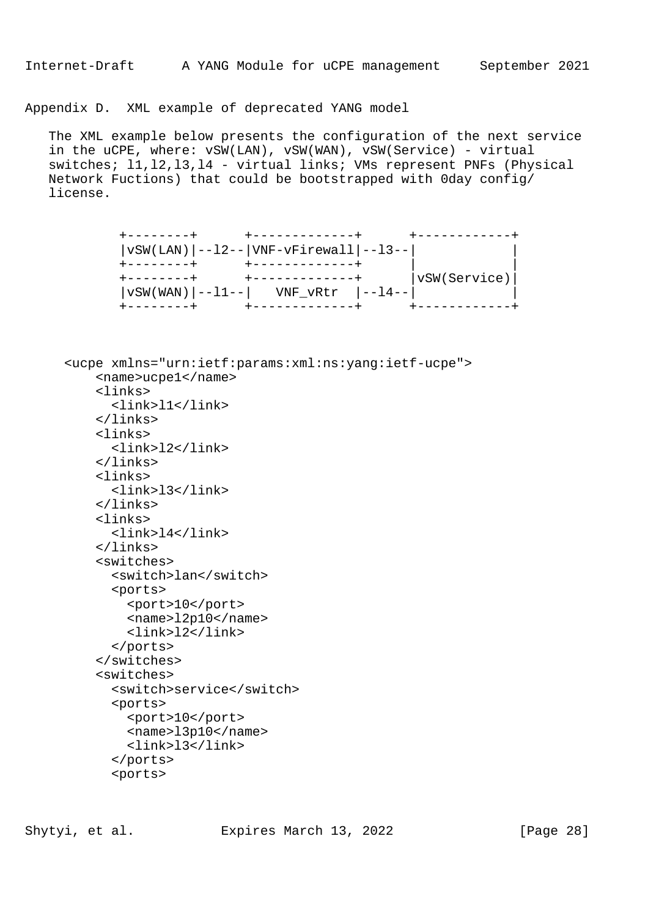Appendix D. XML example of deprecated YANG model

 The XML example below presents the configuration of the next service in the uCPE, where: vSW(LAN), vSW(WAN), vSW(Service) - virtual switches; l1,l2,l3,l4 - virtual links; VMs represent PNFs (Physical Network Fuctions) that could be bootstrapped with 0day config/ license.

| vSW(LAN) --12-- VNF-vFirewall --13--    |              |
|-----------------------------------------|--------------|
|                                         |              |
|                                         | vSW(Service) |
| $ vSW(WAN) $ --11-- $ WNF_VRtr $ --14-- |              |
|                                         |              |

 <ucpe xmlns="urn:ietf:params:xml:ns:yang:ietf-ucpe"> <name>ucpe1</name> <links> <link>l1</link> </links> <links> <link>l2</link> </links> <links> <link>l3</link> </links> <links> <link>l4</link> </links> <switches> <switch>lan</switch> <ports> <port>10</port> <name>l2p10</name> <link>l2</link> </ports> </switches> <switches> <switch>service</switch> <ports> <port>10</port> <name>l3p10</name> <link>l3</link> </ports> <ports>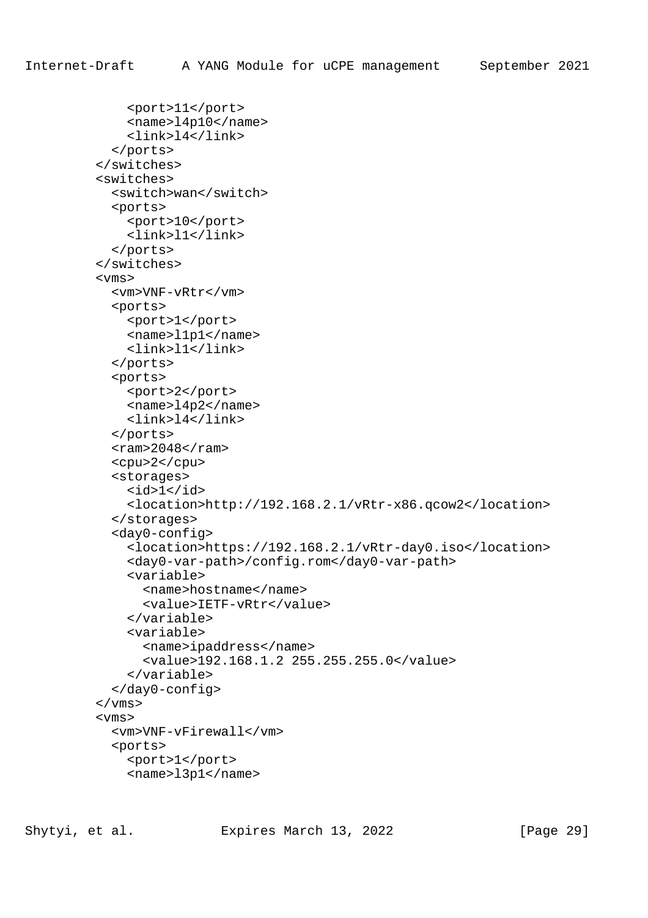```
 <port>11</port>
     <name>l4p10</name>
     <link>l4</link>
   </ports>
 </switches>
 <switches>
   <switch>wan</switch>
   <ports>
     <port>10</port>
     <link>l1</link>
   </ports>
 </switches>
 <vms>
   <vm>VNF-vRtr</vm>
   <ports>
     <port>1</port>
     <name>l1p1</name>
     <link>l1</link>
   </ports>
   <ports>
     <port>2</port>
     <name>l4p2</name>
     <link>l4</link>
   </ports>
  <ram>2048</ram>
   <cpu>2</cpu>
   <storages>
    <id>1</id>
     <location>http://192.168.2.1/vRtr-x86.qcow2</location>
   </storages>
   <day0-config>
     <location>https://192.168.2.1/vRtr-day0.iso</location>
     <day0-var-path>/config.rom</day0-var-path>
     <variable>
       <name>hostname</name>
       <value>IETF-vRtr</value>
     </variable>
     <variable>
       <name>ipaddress</name>
       <value>192.168.1.2 255.255.255.0</value>
     </variable>
   </day0-config>
 </vms>
 <vms>
   <vm>VNF-vFirewall</vm>
   <ports>
     <port>1</port>
     <name>l3p1</name>
```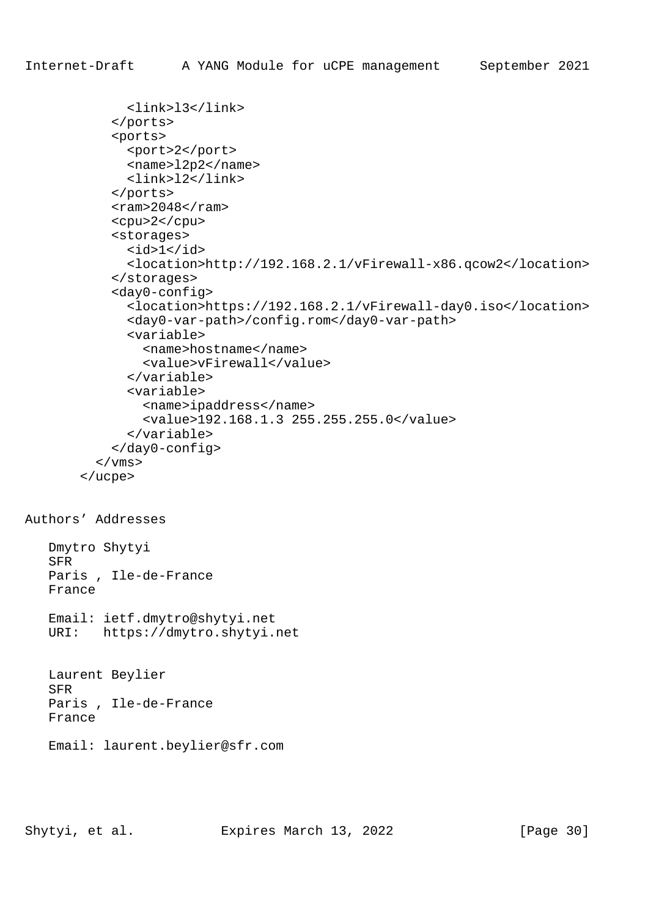```
 <link>l3</link>
     </ports>
     <ports>
       <port>2</port>
       <name>l2p2</name>
       <link>l2</link>
     </ports>
    <ram>2048</ram>
     <cpu>2</cpu>
     <storages>
      <id>1</id>
       <location>http://192.168.2.1/vFirewall-x86.qcow2</location>
     </storages>
     <day0-config>
       <location>https://192.168.2.1/vFirewall-day0.iso</location>
       <day0-var-path>/config.rom</day0-var-path>
       <variable>
         <name>hostname</name>
         <value>vFirewall</value>
       </variable>
       <variable>
         <name>ipaddress</name>
         <value>192.168.1.3 255.255.255.0</value>
       </variable>
     </day0-config>
  \langle/vms\rangle </ucpe>
```

```
Authors' Addresses
```
 Dmytro Shytyi SFR Paris , Ile-de-France France Email: ietf.dmytro@shytyi.net URI: https://dmytro.shytyi.net Laurent Beylier SFR

 Paris , Ile-de-France France

Email: laurent.beylier@sfr.com